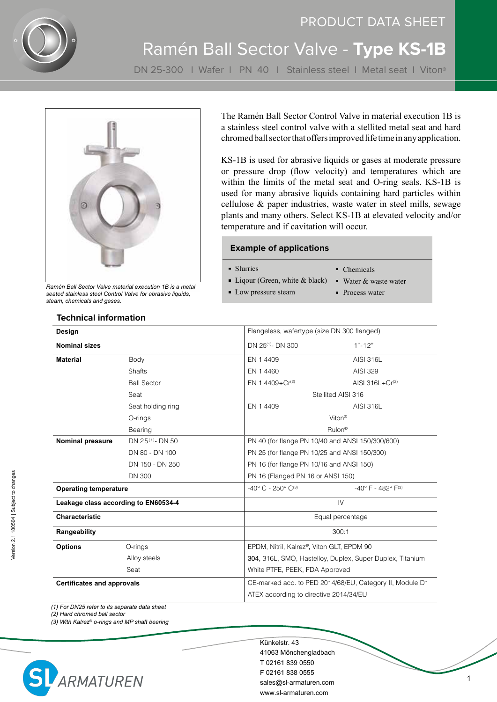

# PRODUCT DATA SHEET Ramén Ball Sector Valve - **Type KS-1B**

DN 25-300 | Wafer | PN 40 | Stainless steel | Metal seat | Viton®



*Ramén Ball Sector Valve material execution 1B is a metal seated stainless steel Control Valve for abrasive liquids, steam, chemicals and gases.*

The Ramén Ball Sector Control Valve in material execution 1B is a stainless steel control valve with a stellited metal seat and hard chromed ball sector that offers improved life time in any application.

KS-1B is used for abrasive liquids or gases at moderate pressure or pressure drop (flow velocity) and temperatures which are within the limits of the metal seat and O-ring seals. KS-1B is used for many abrasive liquids containing hard particles within cellulose & paper industries, waste water in steel mills, sewage plants and many others. Select KS-1B at elevated velocity and/or temperature and if cavitation will occur.

#### **Example of applications**

Slurries

- Chemicals
- $\blacksquare$  Liqour (Green, white & black)
- **Low pressure steam**
- Water & waste water
- **Process water**

| Design                               |                              | Flangeless, wafertype (size DN 300 flanged)               |                                      |  |  |  |
|--------------------------------------|------------------------------|-----------------------------------------------------------|--------------------------------------|--|--|--|
| <b>Nominal sizes</b>                 |                              | DN 25 <sup>(1)</sup> - DN 300                             | $1" - 12"$                           |  |  |  |
| <b>Material</b>                      | Body                         | EN 1.4409                                                 | AISI 316L                            |  |  |  |
|                                      | <b>Shafts</b>                | EN 1.4460                                                 | AISI 329                             |  |  |  |
|                                      | <b>Ball Sector</b>           | EN 1.4409+Cr <sup>(2)</sup>                               | AISI $316L + Cr(2)$                  |  |  |  |
|                                      | Seat                         | Stellited AISI 316                                        |                                      |  |  |  |
|                                      | Seat holding ring            | EN 1.4409                                                 | <b>AISI 316L</b>                     |  |  |  |
|                                      | O-rings                      | Viton <sup>®</sup>                                        |                                      |  |  |  |
|                                      | Bearing                      | Rulon <sup>®</sup>                                        |                                      |  |  |  |
| <b>Nominal pressure</b>              | DN 25 <sup>(1)</sup> - DN 50 | PN 40 (for flange PN 10/40 and ANSI 150/300/600)          |                                      |  |  |  |
|                                      | DN 80 - DN 100               | PN 25 (for flange PN 10/25 and ANSI 150/300)              |                                      |  |  |  |
|                                      | DN 150 - DN 250              | PN 16 (for flange PN 10/16 and ANSI 150)                  |                                      |  |  |  |
|                                      | <b>DN 300</b>                | PN 16 (Flanged PN 16 or ANSI 150)                         |                                      |  |  |  |
| <b>Operating temperature</b>         |                              | $-40^{\circ}$ C - 250° C <sup>(3)</sup>                   | $-40^{\circ}$ F - $482^{\circ}$ F(3) |  |  |  |
| Leakage class according to EN60534-4 |                              | IV                                                        |                                      |  |  |  |
| <b>Characteristic</b>                |                              | Equal percentage                                          |                                      |  |  |  |
| Rangeability                         |                              | 300:1                                                     |                                      |  |  |  |
| <b>Options</b>                       | O-rings                      | EPDM, Nitril, Kalrez®, Viton GLT, EPDM 90                 |                                      |  |  |  |
|                                      | Alloy steels                 | 304, 316L, SMO, Hastelloy, Duplex, Super Duplex, Titanium |                                      |  |  |  |
|                                      | Seat                         | White PTFE, PEEK, FDA Approved                            |                                      |  |  |  |
| <b>Certificates and approvals</b>    |                              | CE-marked acc. to PED 2014/68/EU, Category II, Module D1  |                                      |  |  |  |
|                                      |                              | ATEX according to directive 2014/34/EU                    |                                      |  |  |  |

*(1) For DN25 refer to its separate data sheet*

*(2) Hard chromed ball sector*

*(3) With Kalrez*® *o-rings and MP shaft bearing*



Künkelstr. 43 41063 Mönchengladbach T 02161 839 0550 F 02161 838 0555 sales@sl-armaturen.com www.sl-armaturen.com

#### **Technical information**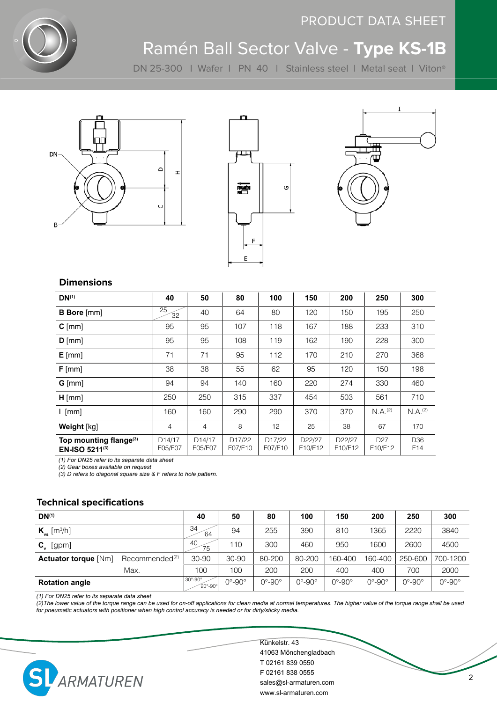

## PRODUCT DATA SHEET

## Ramén Ball Sector Valve - **Type KS-1B**

DN 25-300 l Wafer l PN 40 l Stainless steel l Metal seat l Viton®







#### **Dimensions**

| $DN^{(1)}$                                           | 40                             | 50                             | 80                             | 100                            | 150                                                     | 200                                                     | 250                        | 300                    |
|------------------------------------------------------|--------------------------------|--------------------------------|--------------------------------|--------------------------------|---------------------------------------------------------|---------------------------------------------------------|----------------------------|------------------------|
| <b>B</b> Bore [mm]                                   | 25<br>32                       | 40                             | 64                             | 80                             | 120                                                     | 150                                                     | 195                        | 250                    |
| $C$ [mm]                                             | 95                             | 95                             | 107                            | 118                            | 167                                                     | 188                                                     | 233                        | 310                    |
| $D$ [mm]                                             | 95                             | 95                             | 108                            | 119                            | 162                                                     | 190                                                     | 228                        | 300                    |
| $E$ [mm]                                             | 71                             | 71                             | 95                             | 112                            | 170                                                     | 210                                                     | 270                        | 368                    |
| $F$ [mm]                                             | 38                             | 38                             | 55                             | 62                             | 95                                                      | 120                                                     | 150                        | 198                    |
| $G$ [mm]                                             | 94                             | 94                             | 140                            | 160                            | 220                                                     | 274                                                     | 330                        | 460                    |
| $H$ [mm]                                             | 250                            | 250                            | 315                            | 337                            | 454                                                     | 503                                                     | 561                        | 710                    |
| $l$ [mm]                                             | 160                            | 160                            | 290                            | 290                            | 370                                                     | 370                                                     | $N.A.$ <sup>(2)</sup>      | N.A. (2)               |
| Weight [kg]                                          | 4                              | $\overline{4}$                 | 8                              | 12                             | 25                                                      | 38                                                      | 67                         | 170                    |
| Top mounting flange <sup>(3)</sup><br>EN-ISO 5211(3) | D <sub>14</sub> /17<br>F05/F07 | D <sub>14</sub> /17<br>F05/F07 | D <sub>17</sub> /22<br>F07/F10 | D <sub>17</sub> /22<br>F07/F10 | D <sub>22</sub> /27<br>F <sub>10</sub> /F <sub>12</sub> | D <sub>22</sub> /27<br>F <sub>10</sub> /F <sub>12</sub> | D <sub>27</sub><br>F10/F12 | D <sub>36</sub><br>F14 |

*(1) For DN25 refer to its separate data sheet*

*(2) Gear boxes available on request*

*(3) D refers to diagonal square size & F refers to hole pattern.*

#### **Technical specifications**

| $DN^{(1)}$                   |                            | 40                                                 | 50                         | 80                         | 100                        | 150                  | 200                  | 250                        | 300                  |
|------------------------------|----------------------------|----------------------------------------------------|----------------------------|----------------------------|----------------------------|----------------------|----------------------|----------------------------|----------------------|
| $K_{vs}$ [m <sup>3</sup> /h] |                            | 34<br>64                                           | 94                         | 255                        | 390                        | 810                  | 1365                 | 2220                       | 3840                 |
| $C_{v}$ [gpm]                |                            | 40<br>75                                           | 110                        | 300                        | 460                        | 950                  | 1600                 | 2600                       | 4500                 |
| <b>Actuator torque [Nm]</b>  | Recommended <sup>(2)</sup> | $30 - 90$                                          | $30 - 90$                  | 80-200                     | 80-200                     | 160-400              | 160-400              | 250-600                    | 700-1200             |
|                              | Max.                       | 100                                                | 100                        | 200                        | 200                        | 400                  | 400                  | 700                        | 2000                 |
| <b>Rotation angle</b>        |                            | $30^\circ - 90^\circ$<br>$20^{\circ} - 90^{\circ}$ | $0^{\circ}$ -90 $^{\circ}$ | $0^{\circ}$ -90 $^{\circ}$ | $0^{\circ}$ -90 $^{\circ}$ | $0^\circ - 90^\circ$ | $0^\circ - 90^\circ$ | $0^{\circ}$ -90 $^{\circ}$ | $0^\circ - 90^\circ$ |

*(1) For DN25 refer to its separate data sheet*

*(2)The lower value of the torque range can be used for on-off applications for clean media at normal temperatures. The higher value of the torque range shall be used for pneumatic actuators with positioner when high control accuracy is needed or for dirty/sticky media.* 



Künkelstr. 43 41063 Mönchengladbach T 02161 839 0550 F 02161 838 0555 sales@sl-armaturen.com www.sl-armaturen.com